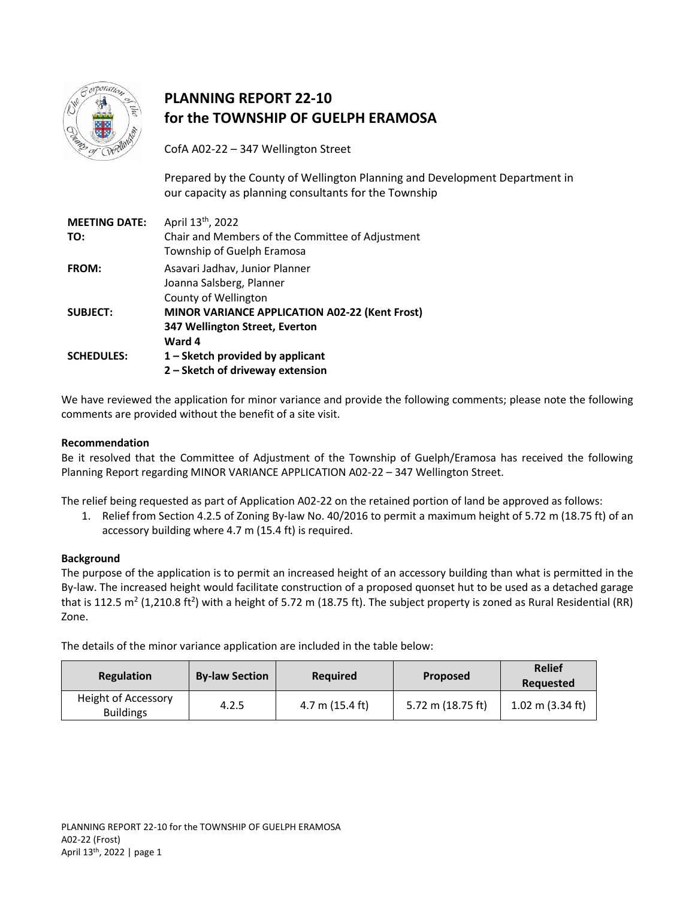

# **PLANNING REPORT 22-10 for the TOWNSHIP OF GUELPH ERAMOSA**

CofA A02-22 – 347 Wellington Street

Prepared by the County of Wellington Planning and Development Department in our capacity as planning consultants for the Township

| <b>MEETING DATE:</b> | April 13 <sup>th</sup> , 2022                         |
|----------------------|-------------------------------------------------------|
| TO:                  | Chair and Members of the Committee of Adjustment      |
|                      | Township of Guelph Eramosa                            |
| <b>FROM:</b>         | Asavari Jadhav, Junior Planner                        |
|                      | Joanna Salsberg, Planner                              |
|                      | County of Wellington                                  |
| <b>SUBJECT:</b>      | <b>MINOR VARIANCE APPLICATION A02-22 (Kent Frost)</b> |
|                      | 347 Wellington Street, Everton                        |
|                      | Ward 4                                                |
| <b>SCHEDULES:</b>    | $1 -$ Sketch provided by applicant                    |
|                      | 2 - Sketch of driveway extension                      |

We have reviewed the application for minor variance and provide the following comments; please note the following comments are provided without the benefit of a site visit.

## **Recommendation**

Be it resolved that the Committee of Adjustment of the Township of Guelph/Eramosa has received the following Planning Report regarding MINOR VARIANCE APPLICATION A02-22 – 347 Wellington Street.

The relief being requested as part of Application A02-22 on the retained portion of land be approved as follows:

1. Relief from Section 4.2.5 of Zoning By-law No. 40/2016 to permit a maximum height of 5.72 m (18.75 ft) of an accessory building where 4.7 m (15.4 ft) is required.

### **Background**

The purpose of the application is to permit an increased height of an accessory building than what is permitted in the By-law. The increased height would facilitate construction of a proposed quonset hut to be used as a detached garage that is 112.5 m<sup>2</sup> (1,210.8 ft<sup>2</sup>) with a height of 5.72 m (18.75 ft). The subject property is zoned as Rural Residential (RR) Zone.

The details of the minor variance application are included in the table below:

| Regulation                              | <b>By-law Section</b> | <b>Required</b> | <b>Proposed</b>   | <b>Relief</b><br>Requested |
|-----------------------------------------|-----------------------|-----------------|-------------------|----------------------------|
| Height of Accessory<br><b>Buildings</b> | 4.2.5                 | 4.7 m (15.4 ft) | 5.72 m (18.75 ft) | $1.02$ m (3.34 ft)         |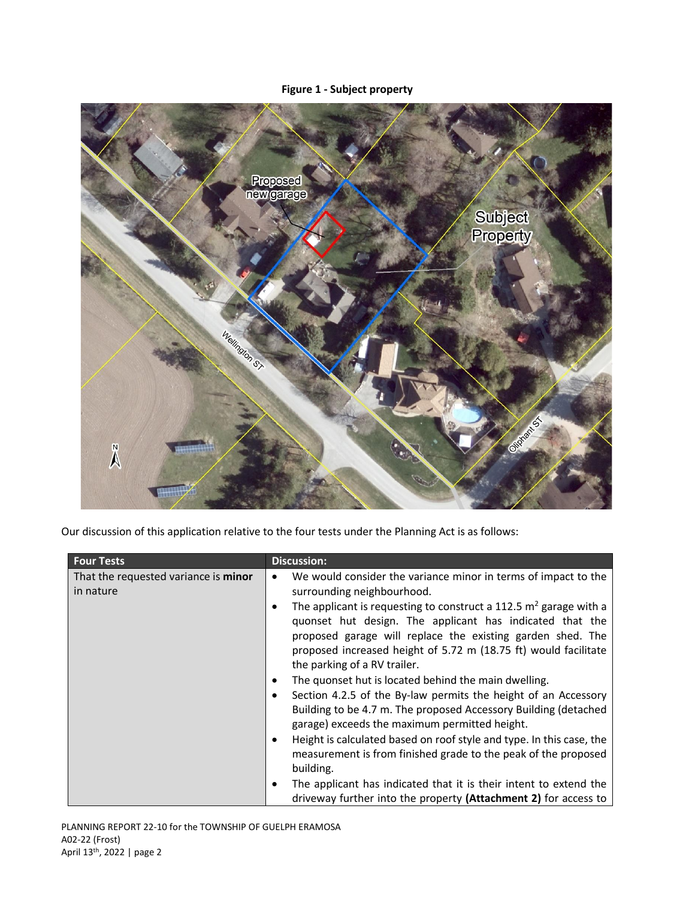# **Figure 1 - Subject property**



Our discussion of this application relative to the four tests under the Planning Act is as follows:

| <b>Four Tests</b>                                 | <b>Discussion:</b>                                                                                                                                                                                                                                                                                                                                                                                                                                                                                                                                                                                                                                                                                                                                                                                                                                                                                                                                                                                                  |
|---------------------------------------------------|---------------------------------------------------------------------------------------------------------------------------------------------------------------------------------------------------------------------------------------------------------------------------------------------------------------------------------------------------------------------------------------------------------------------------------------------------------------------------------------------------------------------------------------------------------------------------------------------------------------------------------------------------------------------------------------------------------------------------------------------------------------------------------------------------------------------------------------------------------------------------------------------------------------------------------------------------------------------------------------------------------------------|
| That the requested variance is minor<br>in nature | We would consider the variance minor in terms of impact to the<br>$\bullet$<br>surrounding neighbourhood.<br>The applicant is requesting to construct a 112.5 $m2$ garage with a<br>$\bullet$<br>quonset hut design. The applicant has indicated that the<br>proposed garage will replace the existing garden shed. The<br>proposed increased height of 5.72 m (18.75 ft) would facilitate<br>the parking of a RV trailer.<br>The quonset hut is located behind the main dwelling.<br>$\bullet$<br>Section 4.2.5 of the By-law permits the height of an Accessory<br>٠<br>Building to be 4.7 m. The proposed Accessory Building (detached<br>garage) exceeds the maximum permitted height.<br>Height is calculated based on roof style and type. In this case, the<br>$\bullet$<br>measurement is from finished grade to the peak of the proposed<br>building.<br>The applicant has indicated that it is their intent to extend the<br>$\bullet$<br>driveway further into the property (Attachment 2) for access to |

PLANNING REPORT 22-10 for the TOWNSHIP OF GUELPH ERAMOSA A02-22 (Frost) April 13<sup>th</sup>, 2022 | page 2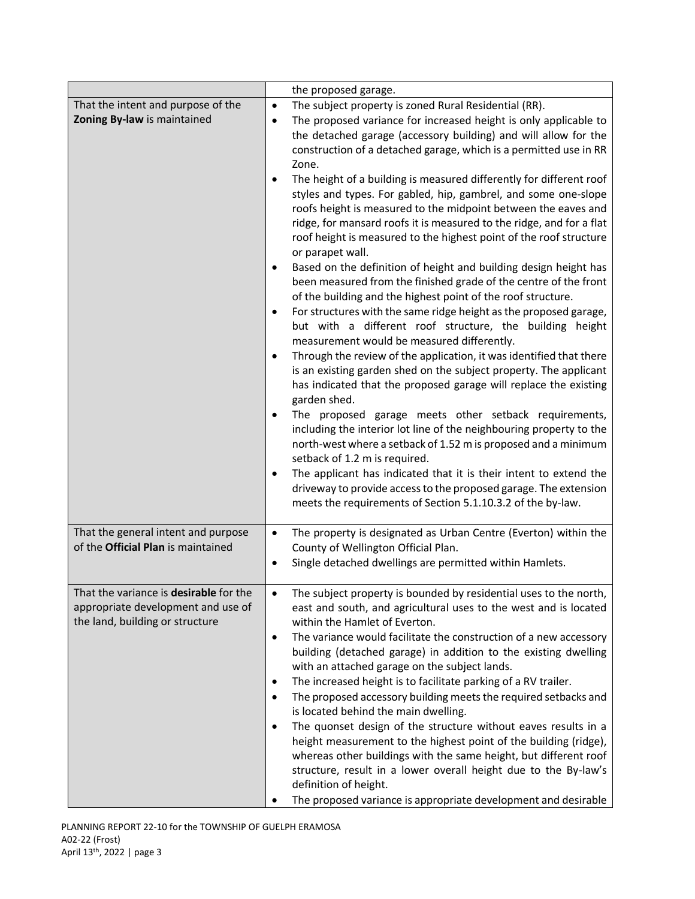|                                                                                                                 | the proposed garage.                                                                                                                                                                                                                                                                                                                                                                                                                                                                                                                                                                                                                                                                                                                                                                                                                                                                                                                                                                                                                                                                                                                                                                                                                                                                                                                                                                                                                                                                                                                                                                                                                                                                                                                                                                                    |
|-----------------------------------------------------------------------------------------------------------------|---------------------------------------------------------------------------------------------------------------------------------------------------------------------------------------------------------------------------------------------------------------------------------------------------------------------------------------------------------------------------------------------------------------------------------------------------------------------------------------------------------------------------------------------------------------------------------------------------------------------------------------------------------------------------------------------------------------------------------------------------------------------------------------------------------------------------------------------------------------------------------------------------------------------------------------------------------------------------------------------------------------------------------------------------------------------------------------------------------------------------------------------------------------------------------------------------------------------------------------------------------------------------------------------------------------------------------------------------------------------------------------------------------------------------------------------------------------------------------------------------------------------------------------------------------------------------------------------------------------------------------------------------------------------------------------------------------------------------------------------------------------------------------------------------------|
| That the intent and purpose of the<br>Zoning By-law is maintained                                               | The subject property is zoned Rural Residential (RR).<br>$\bullet$<br>The proposed variance for increased height is only applicable to<br>$\bullet$<br>the detached garage (accessory building) and will allow for the<br>construction of a detached garage, which is a permitted use in RR<br>Zone.<br>The height of a building is measured differently for different roof<br>styles and types. For gabled, hip, gambrel, and some one-slope<br>roofs height is measured to the midpoint between the eaves and<br>ridge, for mansard roofs it is measured to the ridge, and for a flat<br>roof height is measured to the highest point of the roof structure<br>or parapet wall.<br>Based on the definition of height and building design height has<br>$\bullet$<br>been measured from the finished grade of the centre of the front<br>of the building and the highest point of the roof structure.<br>For structures with the same ridge height as the proposed garage,<br>$\bullet$<br>but with a different roof structure, the building height<br>measurement would be measured differently.<br>Through the review of the application, it was identified that there<br>$\bullet$<br>is an existing garden shed on the subject property. The applicant<br>has indicated that the proposed garage will replace the existing<br>garden shed.<br>The proposed garage meets other setback requirements,<br>including the interior lot line of the neighbouring property to the<br>north-west where a setback of 1.52 m is proposed and a minimum<br>setback of 1.2 m is required.<br>The applicant has indicated that it is their intent to extend the<br>$\bullet$<br>driveway to provide access to the proposed garage. The extension<br>meets the requirements of Section 5.1.10.3.2 of the by-law. |
| That the general intent and purpose<br>of the Official Plan is maintained                                       | The property is designated as Urban Centre (Everton) within the<br>$\bullet$<br>County of Wellington Official Plan.<br>Single detached dwellings are permitted within Hamlets.<br>$\bullet$                                                                                                                                                                                                                                                                                                                                                                                                                                                                                                                                                                                                                                                                                                                                                                                                                                                                                                                                                                                                                                                                                                                                                                                                                                                                                                                                                                                                                                                                                                                                                                                                             |
| That the variance is desirable for the<br>appropriate development and use of<br>the land, building or structure | The subject property is bounded by residential uses to the north,<br>east and south, and agricultural uses to the west and is located<br>within the Hamlet of Everton.<br>The variance would facilitate the construction of a new accessory<br>$\bullet$<br>building (detached garage) in addition to the existing dwelling<br>with an attached garage on the subject lands.<br>The increased height is to facilitate parking of a RV trailer.<br>$\bullet$<br>The proposed accessory building meets the required setbacks and<br>$\bullet$<br>is located behind the main dwelling.<br>The quonset design of the structure without eaves results in a<br>$\bullet$<br>height measurement to the highest point of the building (ridge),<br>whereas other buildings with the same height, but different roof<br>structure, result in a lower overall height due to the By-law's<br>definition of height.<br>The proposed variance is appropriate development and desirable                                                                                                                                                                                                                                                                                                                                                                                                                                                                                                                                                                                                                                                                                                                                                                                                                                |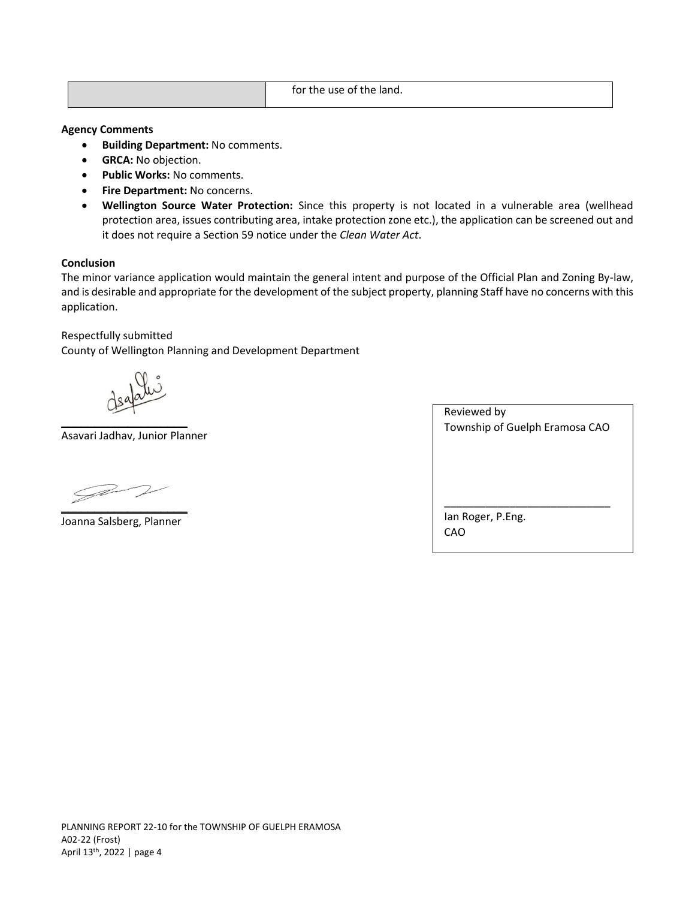|  | for the use<br>land.<br>the<br>≘of |
|--|------------------------------------|
|--|------------------------------------|

#### **Agency Comments**

- **•** Building Department: No comments.
- **GRCA:** No objection.
- **Public Works:** No comments.
- **•** Fire Department: No concerns.
- **Wellington Source Water Protection:** Since this property is not located in a vulnerable area (wellhead protection area, issues contributing area, intake protection zone etc.), the application can be screened out and it does not require a Section 59 notice under the *Clean Water Act*.

### **Conclusion**

The minor variance application would maintain the general intent and purpose of the Official Plan and Zoning By-law, and is desirable and appropriate for the development of the subject property, planning Staff have no concerns with this application.

Respectfully submitted

County of Wellington Planning and Development Department

**\_\_\_\_\_\_\_\_\_\_\_\_\_\_\_\_\_\_\_** 

Asavari Jadhav, Junior Planner

 $\mathscr{D}$ **\_\_\_\_\_\_\_\_\_\_\_\_\_\_\_\_\_\_\_** 

Joanna Salsberg, Planner

| Reviewed by                    |
|--------------------------------|
| Township of Guelph Eramosa CAO |
|                                |
|                                |
|                                |
|                                |
|                                |
|                                |
| lan Roger, P.Eng.              |
| CAO                            |
|                                |
|                                |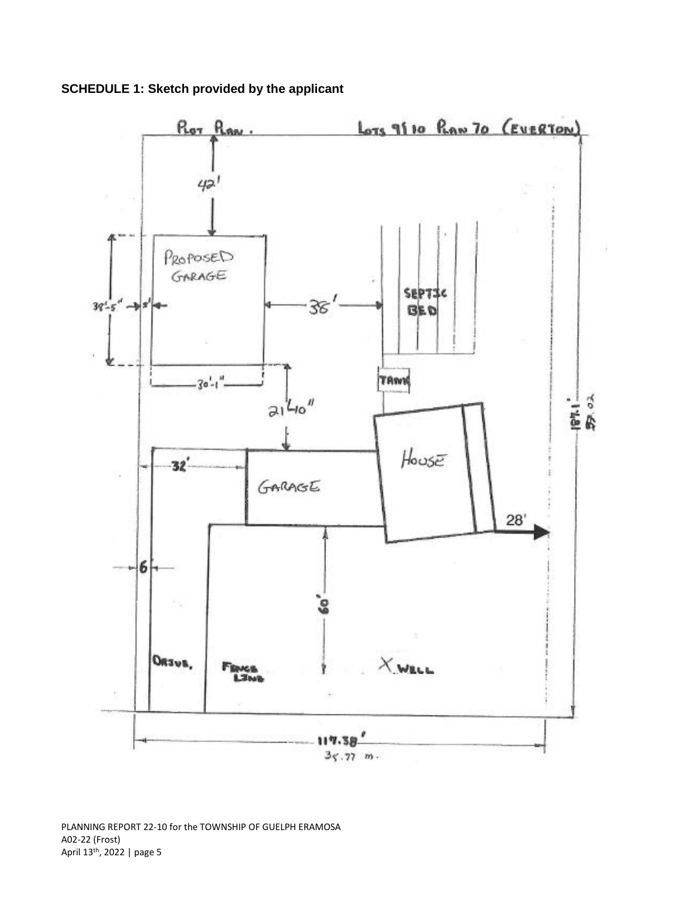**SCHEDULE 1: Sketch provided by the applicant**



PLANNING REPORT 22-10 for the TOWNSHIP OF GUELPH ERAMOSA A02-22 (Frost) April 13<sup>th</sup>, 2022 | page 5